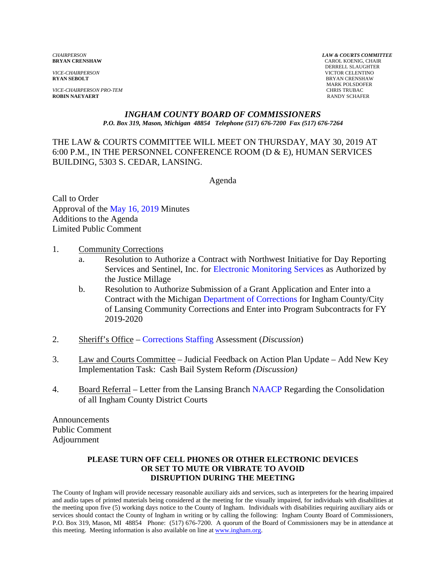*VICE-CHAIRPERSON PRO-TEM* CHRIS TRUBAC **ROBIN NAEYAERT** 

*CHAIRPERSON LAW & COURTS COMMITTEE* **CAROL KOENIG, CHAIR**  DERRELL SLAUGHTER *VICE-CHAIRPERSON* VICTOR CELENTINO **BRYAN CRENSHAW** MARK POLSDOFER

#### *INGHAM COUNTY BOARD OF COMMISSIONERS P.O. Box 319, Mason, Michigan 48854 Telephone (517) 676-7200 Fax (517) 676-7264*

THE LAW & COURTS COMMITTEE WILL MEET ON THURSDAY, MAY 30, 2019 AT 6:00 P.M., IN THE PERSONNEL CONFERENCE ROOM (D & E), HUMAN SERVICES BUILDING, 5303 S. CEDAR, LANSING.

Agenda

Call to Order Approval of [the May 16, 2019 Minutes](#page-1-0)  Additions to the Agenda Limited Public Comment

- 1. Community Corrections
	- a. Resolution to Authorize a [Contract with Northwest Initiative for D](#page-10-0)ay Reporting Services and Sentinel, Inc. for Electronic Monitoring Services as Authorized by the Justice Millage
	- b. Resolution to Authorize Submission of a Grant Application and Enter into a Contract with the Michig[an Department of Corrections for Ingha](#page-12-0)m County/City of Lansing Community Corrections and Enter into Program Subcontracts for FY 2019-2020
- 2. Sheriff's Offic[e Corrections Staffing Assess](#page-15-0)ment (*Discussion*)
- 3. Law and Courts Committee Judicial Feedback on Action Plan Update Add New Key Implementation Task: Cash Bail System Reform *(Discussion)*
- 4. Board Referral Letter from the Lansing [Branch NAACP Regarding](#page-22-0) the Consolidation of all Ingham County District Courts

Announcements Public Comment Adjournment

#### **PLEASE TURN OFF CELL PHONES OR OTHER ELECTRONIC DEVICES OR SET TO MUTE OR VIBRATE TO AVOID DISRUPTION DURING THE MEETING**

The County of Ingham will provide necessary reasonable auxiliary aids and services, such as interpreters for the hearing impaired and audio tapes of printed materials being considered at the meeting for the visually impaired, for individuals with disabilities at the meeting upon five (5) working days notice to the County of Ingham. Individuals with disabilities requiring auxiliary aids or services should contact the County of Ingham in writing or by calling the following: Ingham County Board of Commissioners, P.O. Box 319, Mason, MI 48854 Phone: (517) 676-7200. A quorum of the Board of Commissioners may be in attendance at this meeting. Meeting information is also available on line at www.ingham.org.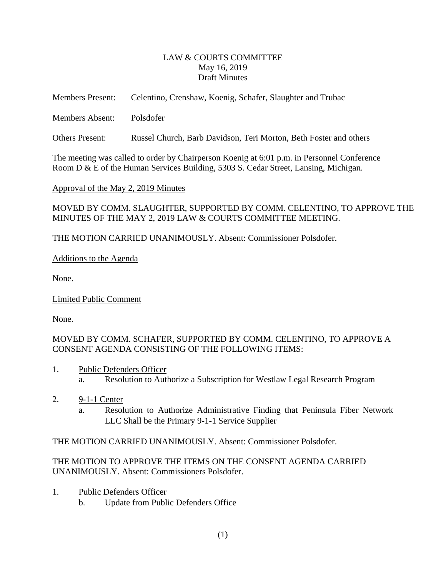#### LAW & COURTS COMMITTEE May 16, 2019 Draft Minutes

<span id="page-1-0"></span>

| <b>Members Present:</b> | Celentino, Crenshaw, Koenig, Schafer, Slaughter and Trubac        |
|-------------------------|-------------------------------------------------------------------|
| <b>Members Absent:</b>  | Polsdofer                                                         |
| <b>Others Present:</b>  | Russel Church, Barb Davidson, Teri Morton, Beth Foster and others |

The meeting was called to order by Chairperson Koenig at 6:01 p.m. in Personnel Conference Room D & E of the Human Services Building, 5303 S. Cedar Street, Lansing, Michigan.

Approval of the May 2, 2019 Minutes

MOVED BY COMM. SLAUGHTER, SUPPORTED BY COMM. CELENTINO, TO APPROVE THE MINUTES OF THE MAY 2, 2019 LAW & COURTS COMMITTEE MEETING.

THE MOTION CARRIED UNANIMOUSLY. Absent: Commissioner Polsdofer.

# Additions to the Agenda

None.

Limited Public Comment

None.

MOVED BY COMM. SCHAFER, SUPPORTED BY COMM. CELENTINO, TO APPROVE A CONSENT AGENDA CONSISTING OF THE FOLLOWING ITEMS:

- 1. Public Defenders Officer
	- a. Resolution to Authorize a Subscription for Westlaw Legal Research Program
- 2. 9-1-1 Center
	- a. Resolution to Authorize Administrative Finding that Peninsula Fiber Network LLC Shall be the Primary 9-1-1 Service Supplier

THE MOTION CARRIED UNANIMOUSLY. Absent: Commissioner Polsdofer.

# THE MOTION TO APPROVE THE ITEMS ON THE CONSENT AGENDA CARRIED UNANIMOUSLY. Absent: Commissioners Polsdofer.

- 1. Public Defenders Officer
	- b. Update from Public Defenders Office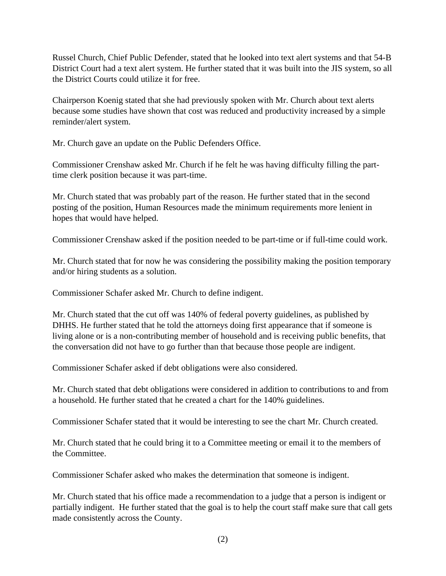Russel Church, Chief Public Defender, stated that he looked into text alert systems and that 54-B District Court had a text alert system. He further stated that it was built into the JIS system, so all the District Courts could utilize it for free.

Chairperson Koenig stated that she had previously spoken with Mr. Church about text alerts because some studies have shown that cost was reduced and productivity increased by a simple reminder/alert system.

Mr. Church gave an update on the Public Defenders Office.

Commissioner Crenshaw asked Mr. Church if he felt he was having difficulty filling the parttime clerk position because it was part-time.

Mr. Church stated that was probably part of the reason. He further stated that in the second posting of the position, Human Resources made the minimum requirements more lenient in hopes that would have helped.

Commissioner Crenshaw asked if the position needed to be part-time or if full-time could work.

Mr. Church stated that for now he was considering the possibility making the position temporary and/or hiring students as a solution.

Commissioner Schafer asked Mr. Church to define indigent.

Mr. Church stated that the cut off was 140% of federal poverty guidelines, as published by DHHS. He further stated that he told the attorneys doing first appearance that if someone is living alone or is a non-contributing member of household and is receiving public benefits, that the conversation did not have to go further than that because those people are indigent.

Commissioner Schafer asked if debt obligations were also considered.

Mr. Church stated that debt obligations were considered in addition to contributions to and from a household. He further stated that he created a chart for the 140% guidelines.

Commissioner Schafer stated that it would be interesting to see the chart Mr. Church created.

Mr. Church stated that he could bring it to a Committee meeting or email it to the members of the Committee.

Commissioner Schafer asked who makes the determination that someone is indigent.

Mr. Church stated that his office made a recommendation to a judge that a person is indigent or partially indigent. He further stated that the goal is to help the court staff make sure that call gets made consistently across the County.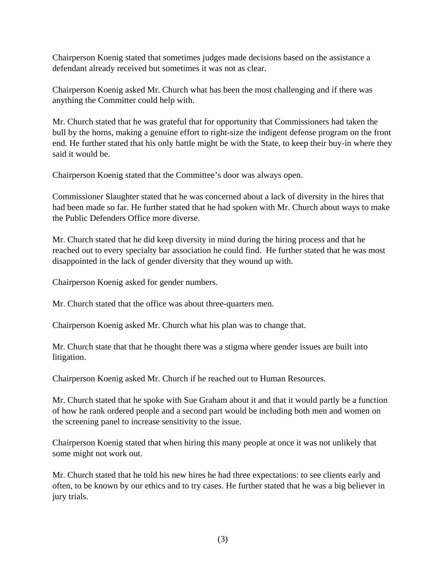Chairperson Koenig stated that sometimes judges made decisions based on the assistance a defendant already received but sometimes it was not as clear.

Chairperson Koenig asked Mr. Church what has been the most challenging and if there was anything the Committer could help with.

Mr. Church stated that he was grateful that for opportunity that Commissioners had taken the bull by the horns, making a genuine effort to right-size the indigent defense program on the front end. He further stated that his only battle might be with the State, to keep their buy-in where they said it would be.

Chairperson Koenig stated that the Committee's door was always open.

Commissioner Slaughter stated that he was concerned about a lack of diversity in the hires that had been made so far. He further stated that he had spoken with Mr. Church about ways to make the Public Defenders Office more diverse.

Mr. Church stated that he did keep diversity in mind during the hiring process and that he reached out to every specialty bar association he could find. He further stated that he was most disappointed in the lack of gender diversity that they wound up with.

Chairperson Koenig asked for gender numbers.

Mr. Church stated that the office was about three-quarters men.

Chairperson Koenig asked Mr. Church what his plan was to change that.

Mr. Church state that that he thought there was a stigma where gender issues are built into litigation.

Chairperson Koenig asked Mr. Church if he reached out to Human Resources.

Mr. Church stated that he spoke with Sue Graham about it and that it would partly be a function of how he rank ordered people and a second part would be including both men and women on the screening panel to increase sensitivity to the issue.

Chairperson Koenig stated that when hiring this many people at once it was not unlikely that some might not work out.

Mr. Church stated that he told his new hires he had three expectations: to see clients early and often, to be known by our ethics and to try cases. He further stated that he was a big believer in jury trials.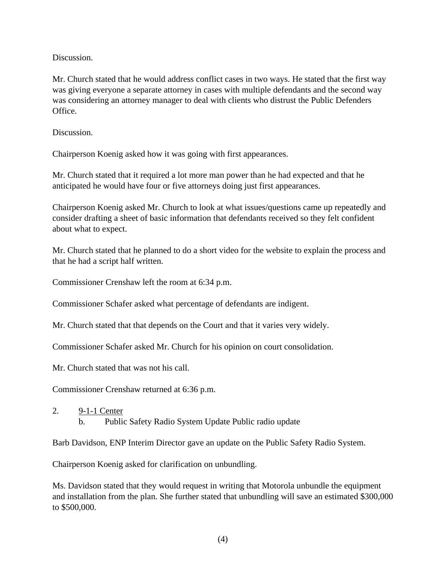Discussion.

Mr. Church stated that he would address conflict cases in two ways. He stated that the first way was giving everyone a separate attorney in cases with multiple defendants and the second way was considering an attorney manager to deal with clients who distrust the Public Defenders Office.

Discussion.

Chairperson Koenig asked how it was going with first appearances.

Mr. Church stated that it required a lot more man power than he had expected and that he anticipated he would have four or five attorneys doing just first appearances.

Chairperson Koenig asked Mr. Church to look at what issues/questions came up repeatedly and consider drafting a sheet of basic information that defendants received so they felt confident about what to expect.

Mr. Church stated that he planned to do a short video for the website to explain the process and that he had a script half written.

Commissioner Crenshaw left the room at 6:34 p.m.

Commissioner Schafer asked what percentage of defendants are indigent.

Mr. Church stated that that depends on the Court and that it varies very widely.

Commissioner Schafer asked Mr. Church for his opinion on court consolidation.

Mr. Church stated that was not his call.

Commissioner Crenshaw returned at 6:36 p.m.

2. 9-1-1 Center

b. Public Safety Radio System Update Public radio update

Barb Davidson, ENP Interim Director gave an update on the Public Safety Radio System.

Chairperson Koenig asked for clarification on unbundling.

Ms. Davidson stated that they would request in writing that Motorola unbundle the equipment and installation from the plan. She further stated that unbundling will save an estimated \$300,000 to \$500,000.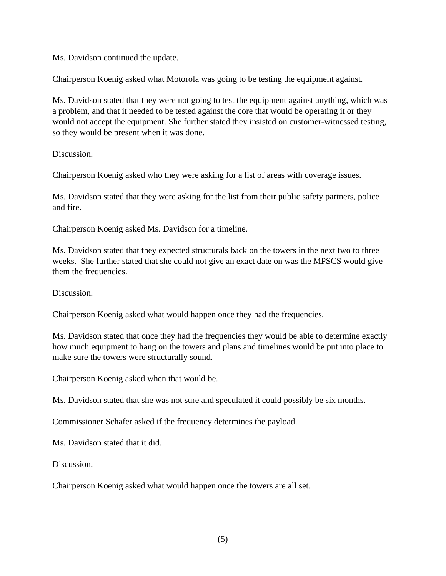Ms. Davidson continued the update.

Chairperson Koenig asked what Motorola was going to be testing the equipment against.

Ms. Davidson stated that they were not going to test the equipment against anything, which was a problem, and that it needed to be tested against the core that would be operating it or they would not accept the equipment. She further stated they insisted on customer-witnessed testing, so they would be present when it was done.

Discussion.

Chairperson Koenig asked who they were asking for a list of areas with coverage issues.

Ms. Davidson stated that they were asking for the list from their public safety partners, police and fire.

Chairperson Koenig asked Ms. Davidson for a timeline.

Ms. Davidson stated that they expected structurals back on the towers in the next two to three weeks. She further stated that she could not give an exact date on was the MPSCS would give them the frequencies.

Discussion.

Chairperson Koenig asked what would happen once they had the frequencies.

Ms. Davidson stated that once they had the frequencies they would be able to determine exactly how much equipment to hang on the towers and plans and timelines would be put into place to make sure the towers were structurally sound.

Chairperson Koenig asked when that would be.

Ms. Davidson stated that she was not sure and speculated it could possibly be six months.

Commissioner Schafer asked if the frequency determines the payload.

Ms. Davidson stated that it did.

Discussion.

Chairperson Koenig asked what would happen once the towers are all set.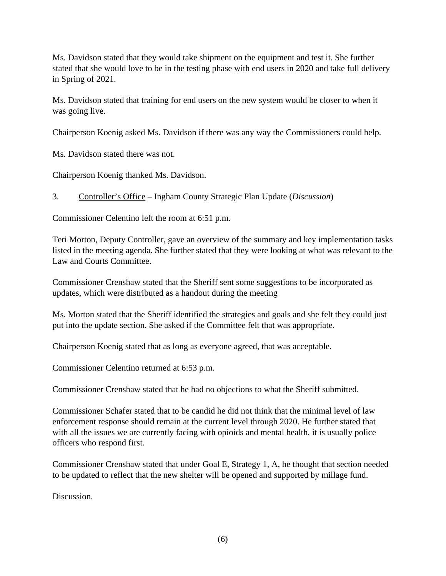Ms. Davidson stated that they would take shipment on the equipment and test it. She further stated that she would love to be in the testing phase with end users in 2020 and take full delivery in Spring of 2021.

Ms. Davidson stated that training for end users on the new system would be closer to when it was going live.

Chairperson Koenig asked Ms. Davidson if there was any way the Commissioners could help.

Ms. Davidson stated there was not.

Chairperson Koenig thanked Ms. Davidson.

3. Controller's Office – Ingham County Strategic Plan Update (*Discussion*)

Commissioner Celentino left the room at 6:51 p.m.

Teri Morton, Deputy Controller, gave an overview of the summary and key implementation tasks listed in the meeting agenda. She further stated that they were looking at what was relevant to the Law and Courts Committee.

Commissioner Crenshaw stated that the Sheriff sent some suggestions to be incorporated as updates, which were distributed as a handout during the meeting

Ms. Morton stated that the Sheriff identified the strategies and goals and she felt they could just put into the update section. She asked if the Committee felt that was appropriate.

Chairperson Koenig stated that as long as everyone agreed, that was acceptable.

Commissioner Celentino returned at 6:53 p.m.

Commissioner Crenshaw stated that he had no objections to what the Sheriff submitted.

Commissioner Schafer stated that to be candid he did not think that the minimal level of law enforcement response should remain at the current level through 2020. He further stated that with all the issues we are currently facing with opioids and mental health, it is usually police officers who respond first.

Commissioner Crenshaw stated that under Goal E, Strategy 1, A, he thought that section needed to be updated to reflect that the new shelter will be opened and supported by millage fund.

Discussion.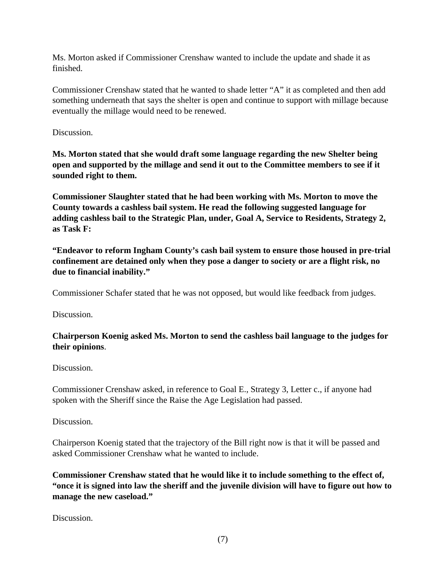Ms. Morton asked if Commissioner Crenshaw wanted to include the update and shade it as finished.

Commissioner Crenshaw stated that he wanted to shade letter "A" it as completed and then add something underneath that says the shelter is open and continue to support with millage because eventually the millage would need to be renewed.

Discussion.

**Ms. Morton stated that she would draft some language regarding the new Shelter being open and supported by the millage and send it out to the Committee members to see if it sounded right to them.** 

**Commissioner Slaughter stated that he had been working with Ms. Morton to move the County towards a cashless bail system. He read the following suggested language for adding cashless bail to the Strategic Plan, under, Goal A, Service to Residents, Strategy 2, as Task F:** 

**"Endeavor to reform Ingham County's cash bail system to ensure those housed in pre-trial confinement are detained only when they pose a danger to society or are a flight risk, no due to financial inability."** 

Commissioner Schafer stated that he was not opposed, but would like feedback from judges.

Discussion.

**Chairperson Koenig asked Ms. Morton to send the cashless bail language to the judges for their opinions**.

Discussion.

Commissioner Crenshaw asked, in reference to Goal E., Strategy 3, Letter c., if anyone had spoken with the Sheriff since the Raise the Age Legislation had passed.

Discussion.

Chairperson Koenig stated that the trajectory of the Bill right now is that it will be passed and asked Commissioner Crenshaw what he wanted to include.

**Commissioner Crenshaw stated that he would like it to include something to the effect of, "once it is signed into law the sheriff and the juvenile division will have to figure out how to manage the new caseload."** 

Discussion.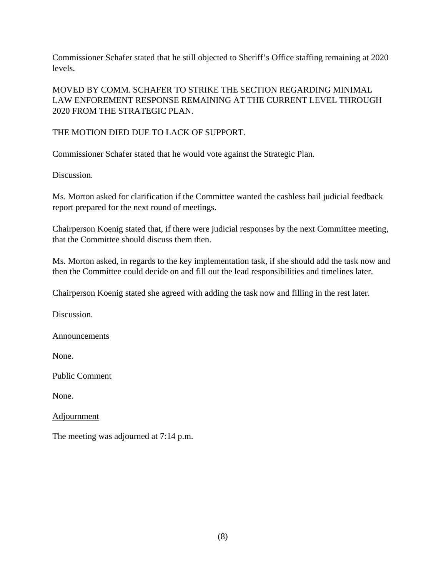Commissioner Schafer stated that he still objected to Sheriff's Office staffing remaining at 2020 levels.

MOVED BY COMM. SCHAFER TO STRIKE THE SECTION REGARDING MINIMAL LAW ENFOREMENT RESPONSE REMAINING AT THE CURRENT LEVEL THROUGH 2020 FROM THE STRATEGIC PLAN.

THE MOTION DIED DUE TO LACK OF SUPPORT.

Commissioner Schafer stated that he would vote against the Strategic Plan.

Discussion.

Ms. Morton asked for clarification if the Committee wanted the cashless bail judicial feedback report prepared for the next round of meetings.

Chairperson Koenig stated that, if there were judicial responses by the next Committee meeting, that the Committee should discuss them then.

Ms. Morton asked, in regards to the key implementation task, if she should add the task now and then the Committee could decide on and fill out the lead responsibilities and timelines later.

Chairperson Koenig stated she agreed with adding the task now and filling in the rest later.

Discussion.

**Announcements** 

None.

Public Comment

None.

Adjournment

The meeting was adjourned at 7:14 p.m.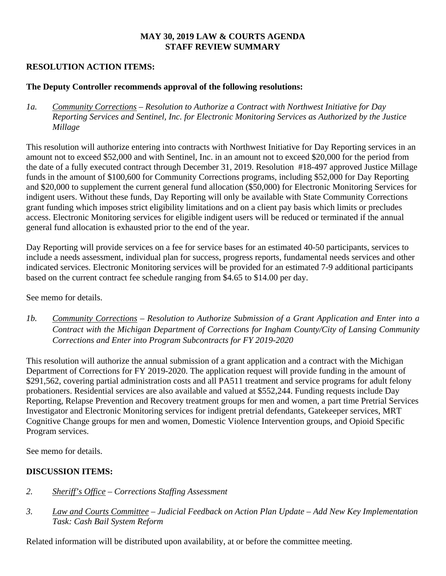# **MAY 30, 2019 LAW & COURTS AGENDA STAFF REVIEW SUMMARY**

### **RESOLUTION ACTION ITEMS:**

#### **The Deputy Controller recommends approval of the following resolutions:**

*1a. Community Corrections – Resolution to Authorize a Contract with Northwest Initiative for Day Reporting Services and Sentinel, Inc. for Electronic Monitoring Services as Authorized by the Justice Millage*

This resolution will authorize entering into contracts with Northwest Initiative for Day Reporting services in an amount not to exceed \$52,000 and with Sentinel, Inc. in an amount not to exceed \$20,000 for the period from the date of a fully executed contract through December 31, 2019. Resolution #18-497 approved Justice Millage funds in the amount of \$100,600 for Community Corrections programs, including \$52,000 for Day Reporting and \$20,000 to supplement the current general fund allocation (\$50,000) for Electronic Monitoring Services for indigent users. Without these funds, Day Reporting will only be available with State Community Corrections grant funding which imposes strict eligibility limitations and on a client pay basis which limits or precludes access. Electronic Monitoring services for eligible indigent users will be reduced or terminated if the annual general fund allocation is exhausted prior to the end of the year.

Day Reporting will provide services on a fee for service bases for an estimated 40-50 participants, services to include a needs assessment, individual plan for success, progress reports, fundamental needs services and other indicated services. Electronic Monitoring services will be provided for an estimated 7-9 additional participants based on the current contract fee schedule ranging from \$4.65 to \$14.00 per day.

See memo for details.

*1b. Community Corrections – Resolution to Authorize Submission of a Grant Application and Enter into a Contract with the Michigan Department of Corrections for Ingham County/City of Lansing Community Corrections and Enter into Program Subcontracts for FY 2019-2020*

This resolution will authorize the annual submission of a grant application and a contract with the Michigan Department of Corrections for FY 2019-2020. The application request will provide funding in the amount of \$291,562, covering partial administration costs and all PA511 treatment and service programs for adult felony probationers. Residential services are also available and valued at \$552,244. Funding requests include Day Reporting, Relapse Prevention and Recovery treatment groups for men and women, a part time Pretrial Services Investigator and Electronic Monitoring services for indigent pretrial defendants, Gatekeeper services, MRT Cognitive Change groups for men and women, Domestic Violence Intervention groups, and Opioid Specific Program services.

See memo for details.

#### **DISCUSSION ITEMS:**

- *2. Sheriff's Office Corrections Staffing Assessment*
- *3. Law and Courts Committee Judicial Feedback on Action Plan Update Add New Key Implementation Task: Cash Bail System Reform*

Related information will be distributed upon availability, at or before the committee meeting.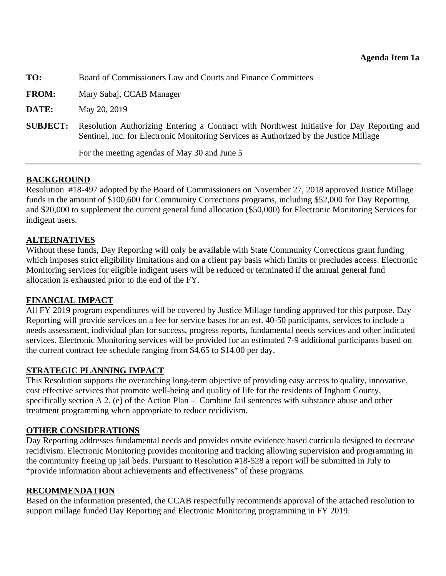<span id="page-10-0"></span>

| TO:             | Board of Commissioners Law and Courts and Finance Committees                                                                                                                         |  |  |
|-----------------|--------------------------------------------------------------------------------------------------------------------------------------------------------------------------------------|--|--|
| <b>FROM:</b>    | Mary Sabaj, CCAB Manager                                                                                                                                                             |  |  |
| DATE:           | May 20, 2019                                                                                                                                                                         |  |  |
| <b>SUBJECT:</b> | Resolution Authorizing Entering a Contract with Northwest Initiative for Day Reporting and<br>Sentinel, Inc. for Electronic Monitoring Services as Authorized by the Justice Millage |  |  |
|                 | For the meeting agendas of May 30 and June 5                                                                                                                                         |  |  |

# **BACKGROUND**

Resolution #18-497 adopted by the Board of Commissioners on November 27, 2018 approved Justice Millage funds in the amount of \$100,600 for Community Corrections programs, including \$52,000 for Day Reporting and \$20,000 to supplement the current general fund allocation (\$50,000) for Electronic Monitoring Services for indigent users.

# **ALTERNATIVES**

Without these funds, Day Reporting will only be available with State Community Corrections grant funding which imposes strict eligibility limitations and on a client pay basis which limits or precludes access. Electronic Monitoring services for eligible indigent users will be reduced or terminated if the annual general fund allocation is exhausted prior to the end of the FY.

# **FINANCIAL IMPACT**

All FY 2019 program expenditures will be covered by Justice Millage funding approved for this purpose. Day Reporting will provide services on a fee for service bases for an est. 40-50 participants, services to include a needs assessment, individual plan for success, progress reports, fundamental needs services and other indicated services. Electronic Monitoring services will be provided for an estimated 7-9 additional participants based on the current contract fee schedule ranging from \$4.65 to \$14.00 per day.

# **STRATEGIC PLANNING IMPACT**

This Resolution supports the overarching long-term objective of providing easy access to quality, innovative, cost effective services that promote well-being and quality of life for the residents of Ingham County, specifically section A 2. (e) of the Action Plan – Combine Jail sentences with substance abuse and other treatment programming when appropriate to reduce recidivism.

# **OTHER CONSIDERATIONS**

Day Reporting addresses fundamental needs and provides onsite evidence based curricula designed to decrease recidivism. Electronic Monitoring provides monitoring and tracking allowing supervision and programming in the community freeing up jail beds. Pursuant to Resolution #18-528 a report will be submitted in July to "provide information about achievements and effectiveness" of these programs.

# **RECOMMENDATION**

Based on the information presented, the CCAB respectfully recommends approval of the attached resolution to support millage funded Day Reporting and Electronic Monitoring programming in FY 2019.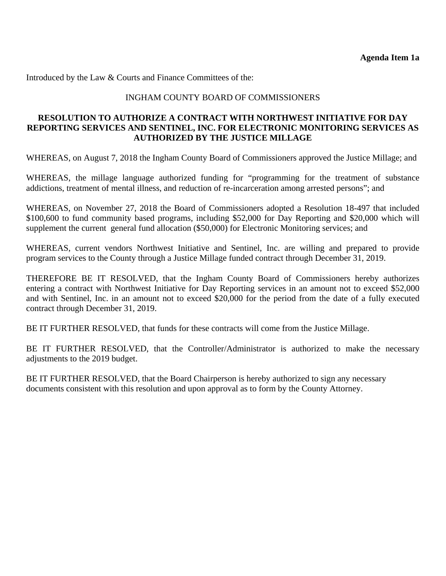Introduced by the Law & Courts and Finance Committees of the:

### INGHAM COUNTY BOARD OF COMMISSIONERS

#### **RESOLUTION TO AUTHORIZE A CONTRACT WITH NORTHWEST INITIATIVE FOR DAY REPORTING SERVICES AND SENTINEL, INC. FOR ELECTRONIC MONITORING SERVICES AS AUTHORIZED BY THE JUSTICE MILLAGE**

WHEREAS, on August 7, 2018 the Ingham County Board of Commissioners approved the Justice Millage; and

WHEREAS, the millage language authorized funding for "programming for the treatment of substance addictions, treatment of mental illness, and reduction of re-incarceration among arrested persons"; and

WHEREAS, on November 27, 2018 the Board of Commissioners adopted a Resolution 18-497 that included \$100,600 to fund community based programs, including \$52,000 for Day Reporting and \$20,000 which will supplement the current general fund allocation (\$50,000) for Electronic Monitoring services; and

WHEREAS, current vendors Northwest Initiative and Sentinel, Inc. are willing and prepared to provide program services to the County through a Justice Millage funded contract through December 31, 2019.

THEREFORE BE IT RESOLVED, that the Ingham County Board of Commissioners hereby authorizes entering a contract with Northwest Initiative for Day Reporting services in an amount not to exceed \$52,000 and with Sentinel, Inc. in an amount not to exceed \$20,000 for the period from the date of a fully executed contract through December 31, 2019.

BE IT FURTHER RESOLVED, that funds for these contracts will come from the Justice Millage.

BE IT FURTHER RESOLVED, that the Controller/Administrator is authorized to make the necessary adjustments to the 2019 budget.

BE IT FURTHER RESOLVED, that the Board Chairperson is hereby authorized to sign any necessary documents consistent with this resolution and upon approval as to form by the County Attorney.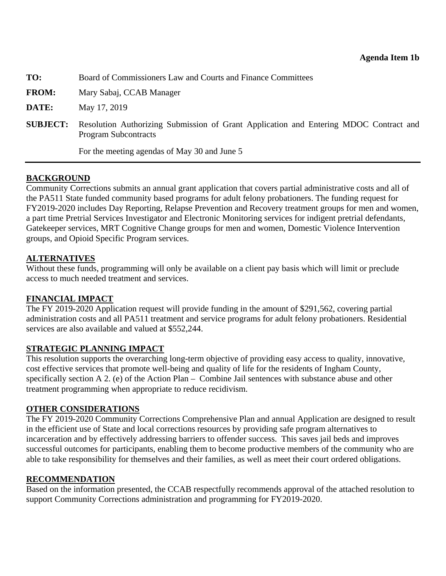<span id="page-12-0"></span>**TO:** Board of Commissioners Law and Courts and Finance Committees

**FROM:** Mary Sabaj, CCAB Manager

**DATE:** May 17, 2019

**SUBJECT:** Resolution Authorizing Submission of Grant Application and Entering MDOC Contract and Program Subcontracts

For the meeting agendas of May 30 and June 5

#### **BACKGROUND**

Community Corrections submits an annual grant application that covers partial administrative costs and all of the PA511 State funded community based programs for adult felony probationers. The funding request for FY2019-2020 includes Day Reporting, Relapse Prevention and Recovery treatment groups for men and women, a part time Pretrial Services Investigator and Electronic Monitoring services for indigent pretrial defendants, Gatekeeper services, MRT Cognitive Change groups for men and women, Domestic Violence Intervention groups, and Opioid Specific Program services.

#### **ALTERNATIVES**

Without these funds, programming will only be available on a client pay basis which will limit or preclude access to much needed treatment and services.

#### **FINANCIAL IMPACT**

The FY 2019-2020 Application request will provide funding in the amount of \$291,562, covering partial administration costs and all PA511 treatment and service programs for adult felony probationers. Residential services are also available and valued at \$552,244.

#### **STRATEGIC PLANNING IMPACT**

This resolution supports the overarching long-term objective of providing easy access to quality, innovative, cost effective services that promote well-being and quality of life for the residents of Ingham County, specifically section A 2. (e) of the Action Plan – Combine Jail sentences with substance abuse and other treatment programming when appropriate to reduce recidivism.

#### **OTHER CONSIDERATIONS**

The FY 2019-2020 Community Corrections Comprehensive Plan and annual Application are designed to result in the efficient use of State and local corrections resources by providing safe program alternatives to incarceration and by effectively addressing barriers to offender success. This saves jail beds and improves successful outcomes for participants, enabling them to become productive members of the community who are able to take responsibility for themselves and their families, as well as meet their court ordered obligations.

#### **RECOMMENDATION**

Based on the information presented, the CCAB respectfully recommends approval of the attached resolution to support Community Corrections administration and programming for FY2019-2020.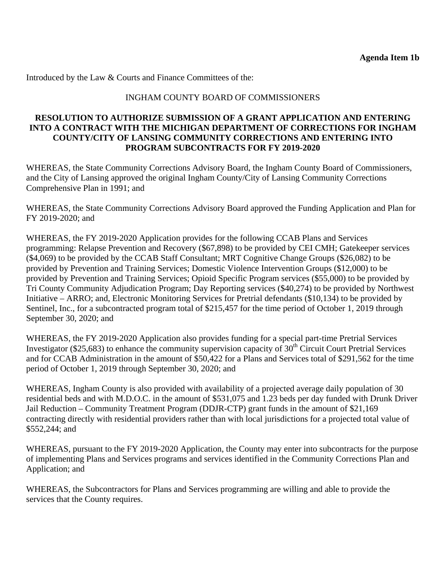Introduced by the Law & Courts and Finance Committees of the:

### INGHAM COUNTY BOARD OF COMMISSIONERS

### **RESOLUTION TO AUTHORIZE SUBMISSION OF A GRANT APPLICATION AND ENTERING INTO A CONTRACT WITH THE MICHIGAN DEPARTMENT OF CORRECTIONS FOR INGHAM COUNTY/CITY OF LANSING COMMUNITY CORRECTIONS AND ENTERING INTO PROGRAM SUBCONTRACTS FOR FY 2019-2020**

WHEREAS, the State Community Corrections Advisory Board, the Ingham County Board of Commissioners, and the City of Lansing approved the original Ingham County/City of Lansing Community Corrections Comprehensive Plan in 1991; and

WHEREAS, the State Community Corrections Advisory Board approved the Funding Application and Plan for FY 2019-2020; and

WHEREAS, the FY 2019-2020 Application provides for the following CCAB Plans and Services programming: Relapse Prevention and Recovery (\$67,898) to be provided by CEI CMH; Gatekeeper services (\$4,069) to be provided by the CCAB Staff Consultant; MRT Cognitive Change Groups (\$26,082) to be provided by Prevention and Training Services; Domestic Violence Intervention Groups (\$12,000) to be provided by Prevention and Training Services; Opioid Specific Program services (\$55,000) to be provided by Tri County Community Adjudication Program; Day Reporting services (\$40,274) to be provided by Northwest Initiative – ARRO; and, Electronic Monitoring Services for Pretrial defendants (\$10,134) to be provided by Sentinel, Inc., for a subcontracted program total of \$215,457 for the time period of October 1, 2019 through September 30, 2020; and

WHEREAS, the FY 2019-2020 Application also provides funding for a special part-time Pretrial Services Investigator (\$25,683) to enhance the community supervision capacity of  $30<sup>th</sup>$  Circuit Court Pretrial Services and for CCAB Administration in the amount of \$50,422 for a Plans and Services total of \$291,562 for the time period of October 1, 2019 through September 30, 2020; and

WHEREAS, Ingham County is also provided with availability of a projected average daily population of 30 residential beds and with M.D.O.C. in the amount of \$531,075 and 1.23 beds per day funded with Drunk Driver Jail Reduction – Community Treatment Program (DDJR-CTP) grant funds in the amount of \$21,169 contracting directly with residential providers rather than with local jurisdictions for a projected total value of \$552,244; and

WHEREAS, pursuant to the FY 2019-2020 Application, the County may enter into subcontracts for the purpose of implementing Plans and Services programs and services identified in the Community Corrections Plan and Application; and

WHEREAS, the Subcontractors for Plans and Services programming are willing and able to provide the services that the County requires.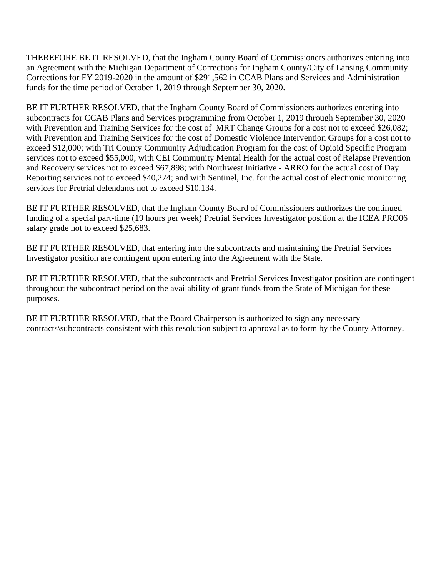THEREFORE BE IT RESOLVED, that the Ingham County Board of Commissioners authorizes entering into an Agreement with the Michigan Department of Corrections for Ingham County/City of Lansing Community Corrections for FY 2019-2020 in the amount of \$291,562 in CCAB Plans and Services and Administration funds for the time period of October 1, 2019 through September 30, 2020.

BE IT FURTHER RESOLVED, that the Ingham County Board of Commissioners authorizes entering into subcontracts for CCAB Plans and Services programming from October 1, 2019 through September 30, 2020 with Prevention and Training Services for the cost of MRT Change Groups for a cost not to exceed \$26,082; with Prevention and Training Services for the cost of Domestic Violence Intervention Groups for a cost not to exceed \$12,000; with Tri County Community Adjudication Program for the cost of Opioid Specific Program services not to exceed \$55,000; with CEI Community Mental Health for the actual cost of Relapse Prevention and Recovery services not to exceed \$67,898; with Northwest Initiative - ARRO for the actual cost of Day Reporting services not to exceed \$40,274; and with Sentinel, Inc. for the actual cost of electronic monitoring services for Pretrial defendants not to exceed \$10,134.

BE IT FURTHER RESOLVED, that the Ingham County Board of Commissioners authorizes the continued funding of a special part-time (19 hours per week) Pretrial Services Investigator position at the ICEA PRO06 salary grade not to exceed \$25,683.

BE IT FURTHER RESOLVED, that entering into the subcontracts and maintaining the Pretrial Services Investigator position are contingent upon entering into the Agreement with the State.

BE IT FURTHER RESOLVED, that the subcontracts and Pretrial Services Investigator position are contingent throughout the subcontract period on the availability of grant funds from the State of Michigan for these purposes.

BE IT FURTHER RESOLVED, that the Board Chairperson is authorized to sign any necessary contracts\subcontracts consistent with this resolution subject to approval as to form by the County Attorney.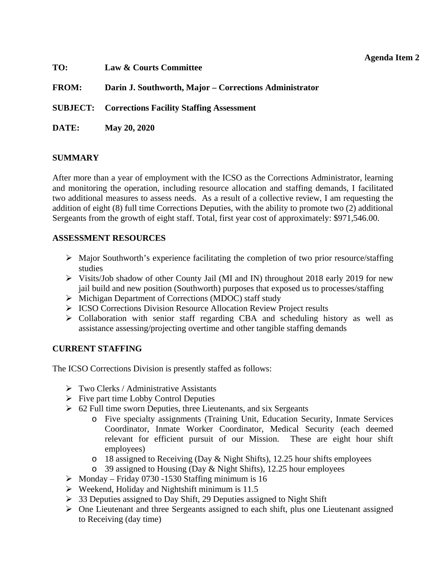### **Agenda Item 2**

<span id="page-15-0"></span>

| TO:          | Law & Courts Committee                                   |
|--------------|----------------------------------------------------------|
| <b>FROM:</b> | Darin J. Southworth, Major – Corrections Administrator   |
|              | <b>SUBJECT:</b> Corrections Facility Staffing Assessment |
| DATE:        | May 20, 2020                                             |

# **SUMMARY**

After more than a year of employment with the ICSO as the Corrections Administrator, learning and monitoring the operation, including resource allocation and staffing demands, I facilitated two additional measures to assess needs. As a result of a collective review, I am requesting the addition of eight (8) full time Corrections Deputies, with the ability to promote two (2) additional Sergeants from the growth of eight staff. Total, first year cost of approximately: \$971,546.00.

#### **ASSESSMENT RESOURCES**

- $\triangleright$  Major Southworth's experience facilitating the completion of two prior resource/staffing studies
- Visits/Job shadow of other County Jail (MI and IN) throughout 2018 early 2019 for new jail build and new position (Southworth) purposes that exposed us to processes/staffing
- $\triangleright$  Michigan Department of Corrections (MDOC) staff study
- **EXECO Corrections Division Resource Allocation Review Project results**
- $\triangleright$  Collaboration with senior staff regarding CBA and scheduling history as well as assistance assessing/projecting overtime and other tangible staffing demands

# **CURRENT STAFFING**

The ICSO Corrections Division is presently staffed as follows:

- $\triangleright$  Two Clerks / Administrative Assistants
- $\triangleright$  Five part time Lobby Control Deputies
- $\geq 62$  Full time sworn Deputies, three Lieutenants, and six Sergeants
	- o Five specialty assignments (Training Unit, Education Security, Inmate Services Coordinator, Inmate Worker Coordinator, Medical Security (each deemed relevant for efficient pursuit of our Mission. These are eight hour shift employees)
	- o 18 assigned to Receiving (Day & Night Shifts), 12.25 hour shifts employees
	- o 39 assigned to Housing (Day & Night Shifts), 12.25 hour employees
- $\triangleright$  Monday Friday 0730 -1530 Staffing minimum is 16
- $\triangleright$  Weekend, Holiday and Nightshift minimum is 11.5
- $\geq$  33 Deputies assigned to Day Shift, 29 Deputies assigned to Night Shift
- $\triangleright$  One Lieutenant and three Sergeants assigned to each shift, plus one Lieutenant assigned to Receiving (day time)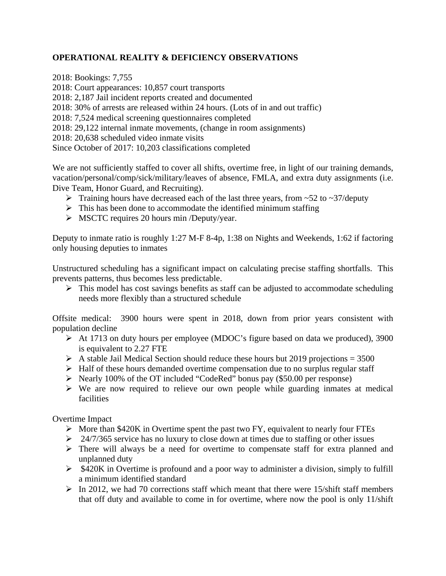# **OPERATIONAL REALITY & DEFICIENCY OBSERVATIONS**

2018: Bookings: 7,755 2018: Court appearances: 10,857 court transports 2018: 2,187 Jail incident reports created and documented 2018: 30% of arrests are released within 24 hours. (Lots of in and out traffic) 2018: 7,524 medical screening questionnaires completed 2018: 29,122 internal inmate movements, (change in room assignments) 2018: 20,638 scheduled video inmate visits Since October of 2017: 10,203 classifications completed

We are not sufficiently staffed to cover all shifts, overtime free, in light of our training demands, vacation/personal/comp/sick/military/leaves of absence, FMLA, and extra duty assignments (i.e. Dive Team, Honor Guard, and Recruiting).

- $\triangleright$  Training hours have decreased each of the last three years, from ~52 to ~37/deputy
- $\triangleright$  This has been done to accommodate the identified minimum staffing
- $\triangleright$  MSCTC requires 20 hours min /Deputy/year.

Deputy to inmate ratio is roughly 1:27 M-F 8-4p, 1:38 on Nights and Weekends, 1:62 if factoring only housing deputies to inmates

Unstructured scheduling has a significant impact on calculating precise staffing shortfalls. This prevents patterns, thus becomes less predictable.

 $\triangleright$  This model has cost savings benefits as staff can be adjusted to accommodate scheduling needs more flexibly than a structured schedule

Offsite medical: 3900 hours were spent in 2018, down from prior years consistent with population decline

- At 1713 on duty hours per employee (MDOC's figure based on data we produced), 3900 is equivalent to 2.27 FTE
- $\triangleright$  A stable Jail Medical Section should reduce these hours but 2019 projections = 3500
- $\triangleright$  Half of these hours demanded overtime compensation due to no surplus regular staff
- $\triangleright$  Nearly 100% of the OT included "CodeRed" bonus pay (\$50.00 per response)
- $\triangleright$  We are now required to relieve our own people while guarding inmates at medical facilities

Overtime Impact

- $\triangleright$  More than \$420K in Overtime spent the past two FY, equivalent to nearly four FTEs
- $\geq$  24/7/365 service has no luxury to close down at times due to staffing or other issues
- There will always be a need for overtime to compensate staff for extra planned and unplanned duty
- $\triangleright$  \$420K in Overtime is profound and a poor way to administer a division, simply to fulfill a minimum identified standard
- $\triangleright$  In 2012, we had 70 corrections staff which meant that there were 15/shift staff members that off duty and available to come in for overtime, where now the pool is only 11/shift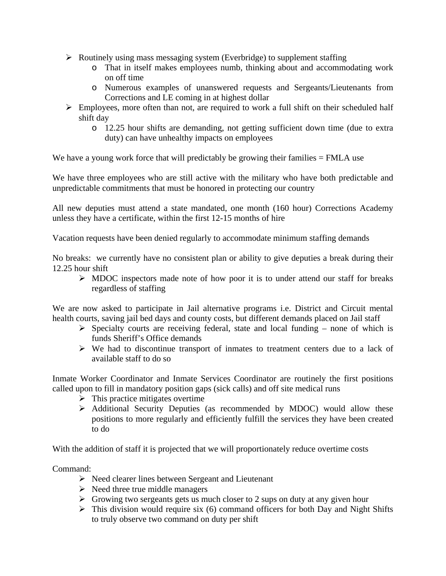- $\triangleright$  Routinely using mass messaging system (Everbridge) to supplement staffing
	- o That in itself makes employees numb, thinking about and accommodating work on off time
	- o Numerous examples of unanswered requests and Sergeants/Lieutenants from Corrections and LE coming in at highest dollar
- $\triangleright$  Employees, more often than not, are required to work a full shift on their scheduled half shift day
	- o 12.25 hour shifts are demanding, not getting sufficient down time (due to extra duty) can have unhealthy impacts on employees

We have a young work force that will predictably be growing their families = FMLA use

We have three employees who are still active with the military who have both predictable and unpredictable commitments that must be honored in protecting our country

All new deputies must attend a state mandated, one month (160 hour) Corrections Academy unless they have a certificate, within the first 12-15 months of hire

Vacation requests have been denied regularly to accommodate minimum staffing demands

No breaks: we currently have no consistent plan or ability to give deputies a break during their 12.25 hour shift

 $\triangleright$  MDOC inspectors made note of how poor it is to under attend our staff for breaks regardless of staffing

We are now asked to participate in Jail alternative programs i.e. District and Circuit mental health courts, saving jail bed days and county costs, but different demands placed on Jail staff

- $\triangleright$  Specialty courts are receiving federal, state and local funding none of which is funds Sheriff's Office demands
- $\triangleright$  We had to discontinue transport of inmates to treatment centers due to a lack of available staff to do so

Inmate Worker Coordinator and Inmate Services Coordinator are routinely the first positions called upon to fill in mandatory position gaps (sick calls) and off site medical runs

- $\triangleright$  This practice mitigates overtime
- Additional Security Deputies (as recommended by MDOC) would allow these positions to more regularly and efficiently fulfill the services they have been created to do

With the addition of staff it is projected that we will proportionately reduce overtime costs

Command:

- $\triangleright$  Need clearer lines between Sergeant and Lieutenant
- $\triangleright$  Need three true middle managers
- $\triangleright$  Growing two sergeants gets us much closer to 2 sups on duty at any given hour
- $\triangleright$  This division would require six (6) command officers for both Day and Night Shifts to truly observe two command on duty per shift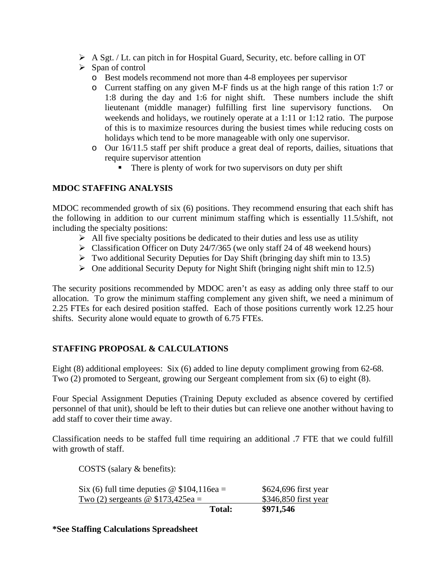- A Sgt. / Lt. can pitch in for Hospital Guard, Security, etc. before calling in OT
- $\triangleright$  Span of control
	- o Best models recommend not more than 4-8 employees per supervisor
	- o Current staffing on any given M-F finds us at the high range of this ration 1:7 or 1:8 during the day and 1:6 for night shift. These numbers include the shift lieutenant (middle manager) fulfilling first line supervisory functions. On weekends and holidays, we routinely operate at a 1:11 or 1:12 ratio. The purpose of this is to maximize resources during the busiest times while reducing costs on holidays which tend to be more manageable with only one supervisor.
	- o Our 16/11.5 staff per shift produce a great deal of reports, dailies, situations that require supervisor attention
		- There is plenty of work for two supervisors on duty per shift

# **MDOC STAFFING ANALYSIS**

MDOC recommended growth of six (6) positions. They recommend ensuring that each shift has the following in addition to our current minimum staffing which is essentially 11.5/shift, not including the specialty positions:

- $\triangleright$  All five specialty positions be dedicated to their duties and less use as utility
- $\triangleright$  Classification Officer on Duty 24/7/365 (we only staff 24 of 48 weekend hours)
- $\triangleright$  Two additional Security Deputies for Day Shift (bringing day shift min to 13.5)
- $\triangleright$  One additional Security Deputy for Night Shift (bringing night shift min to 12.5)

The security positions recommended by MDOC aren't as easy as adding only three staff to our allocation. To grow the minimum staffing complement any given shift, we need a minimum of 2.25 FTEs for each desired position staffed. Each of those positions currently work 12.25 hour shifts. Security alone would equate to growth of 6.75 FTEs.

# **STAFFING PROPOSAL & CALCULATIONS**

Eight (8) additional employees: Six (6) added to line deputy compliment growing from 62-68. Two (2) promoted to Sergeant, growing our Sergeant complement from six (6) to eight (8).

Four Special Assignment Deputies (Training Deputy excluded as absence covered by certified personnel of that unit), should be left to their duties but can relieve one another without having to add staff to cover their time away.

Classification needs to be staffed full time requiring an additional .7 FTE that we could fulfill with growth of staff.

COSTS (salary & benefits):

| Six (6) full time deputies $\omega$ \$104,116ea = |        | \$624,696 first year |
|---------------------------------------------------|--------|----------------------|
| Two (2) sergeants $\omega$ \$173,425ea =          |        | \$346,850 first year |
|                                                   | Total: | \$971,546            |

**\*See Staffing Calculations Spreadsheet**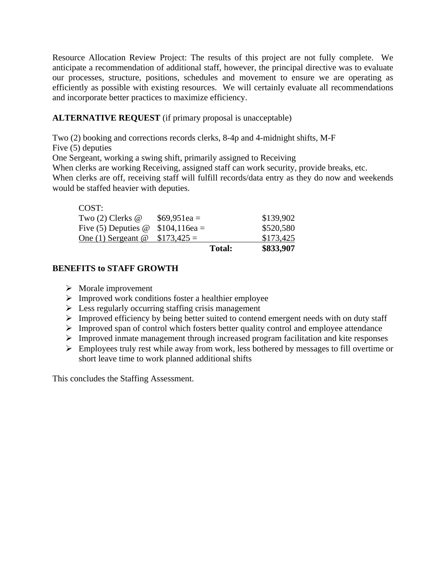Resource Allocation Review Project: The results of this project are not fully complete. We anticipate a recommendation of additional staff, however, the principal directive was to evaluate our processes, structure, positions, schedules and movement to ensure we are operating as efficiently as possible with existing resources. We will certainly evaluate all recommendations and incorporate better practices to maximize efficiency.

# **ALTERNATIVE REQUEST** (if primary proposal is unacceptable)

Two (2) booking and corrections records clerks, 8-4p and 4-midnight shifts, M-F

Five (5) deputies

One Sergeant, working a swing shift, primarily assigned to Receiving

When clerks are working Receiving, assigned staff can work security, provide breaks, etc.

When clerks are off, receiving staff will fulfill records/data entry as they do now and weekends would be staffed heavier with deputies.

# COST:

|                                          |               | <b>Total:</b> | \$833,907 |
|------------------------------------------|---------------|---------------|-----------|
| One $(1)$ Sergeant $@$                   | $$173,425 =$  |               | \$173,425 |
| Five (5) Deputies $\omega$ \$104,116ea = |               |               | \$520,580 |
| Two $(2)$ Clerks $@$                     | $$69,951ea =$ |               | \$139,902 |
|                                          |               |               |           |

# **BENEFITS to STAFF GROWTH**

- $\triangleright$  Morale improvement
- $\triangleright$  Improved work conditions foster a healthier employee
- $\triangleright$  Less regularly occurring staffing crisis management
- $\triangleright$  Improved efficiency by being better suited to contend emergent needs with on duty staff
- $\triangleright$  Improved span of control which fosters better quality control and employee attendance
- Improved inmate management through increased program facilitation and kite responses
- $\triangleright$  Employees truly rest while away from work, less bothered by messages to fill overtime or short leave time to work planned additional shifts

This concludes the Staffing Assessment.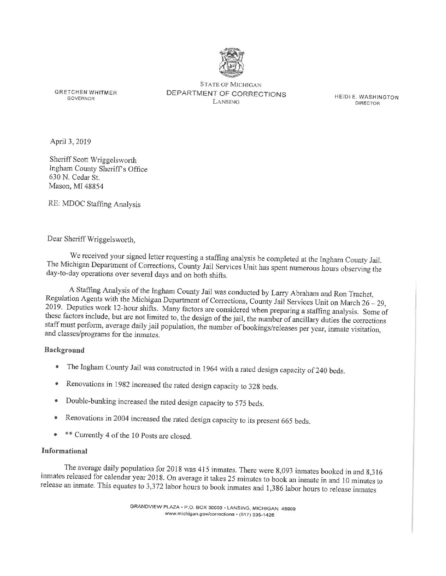

**GRETCHEN WHITMER GOVERNOR** 

**STATE OF MICHIGAN** DEPARTMENT OF CORRECTIONS LANSING

HEIDI E. WASHINGTON **DIRECTOR** 

April 3, 2019

Sheriff Scott Wriggelsworth Ingham County Sheriff's Office 630 N. Cedar St. Mason, MI 48854

RE: MDOC Staffing Analysis

#### Dear Sheriff Wriggelsworth,

We received your signed letter requesting a staffing analysis be completed at the Ingham County Jail. The Michigan Department of Corrections, County Jail Services Unit has spent numerous hours observing the day-to-day operations over several days and on both shifts.

A Staffing Analysis of the Ingham County Jail was conducted by Larry Abraham and Ron Trachet, Regulation Agents with the Michigan Department of Corrections, County Jail Services Unit on March 26 - 29, 2019. Deputies work 12-hour shifts. Many factors are considered when preparing a staffing analysis. Some of these factors include, but are not limited to, the design of the jail, the number of ancillary duties the corrections staff must perform, average daily jail population, the number of bookings/releases per year, inmate visitation, and classes/programs for the inmates.

#### **Background**

- The Ingham County Jail was constructed in 1964 with a rated design capacity of 240 beds.  $\bullet$
- Renovations in 1982 increased the rated design capacity to 328 beds.  $\bullet$
- Double-bunking increased the rated design capacity to 575 beds.  $\bullet$
- Renovations in 2004 increased the rated design capacity to its present 665 beds.
- \*\* Currently 4 of the 10 Posts are closed.

#### Informational

The average daily population for 2018 was 415 inmates. There were 8,093 inmates booked in and 8,316 inmates released for calendar year 2018. On average it takes 25 minutes to book an inmate in and 10 minutes to release an inmate. This equates to 3,372 labor hours to book inmates and 1,386 labor hours to release inmates

> GRANDVIEW PLAZA · P.O. BOX 30003 · LANSING, MICHIGAN 48909 www.michigan.gov/corrections · (517) 335-1426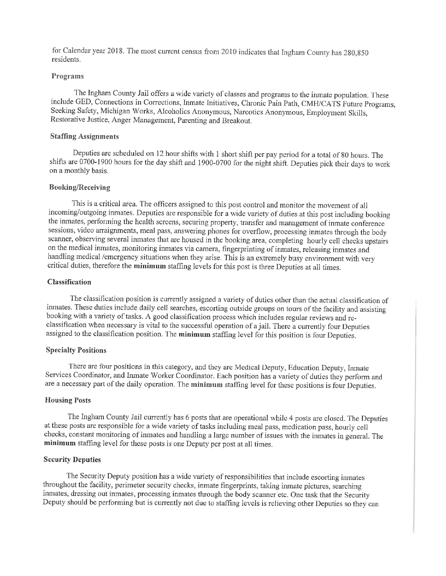for Calendar year 2018. The most current census from 2010 indicates that Ingham County has 280,850 residents.

#### Programs

The Ingham County Jail offers a wide variety of classes and programs to the inmate population. These include GED, Connections in Corrections, Inmate Initiatives, Chronic Pain Path, CMH/CATS Future Programs, Seeking Safety, Michigan Works, Alcoholics Anonymous, Narcotics Anonymous, Employment Skills, Restorative Justice, Anger Management, Parenting and Breakout.

#### **Staffing Assignments**

Deputies are scheduled on 12 hour shifts with 1 short shift per pay period for a total of 80 hours. The shifts are 0700-1900 hours for the day shift and 1900-0700 for the night shift. Deputies pick their days to work on a monthly basis.

#### **Booking/Receiving**

This is a critical area. The officers assigned to this post control and monitor the movement of all incoming/outgoing inmates. Deputies are responsible for a wide variety of duties at this post including booking the inmates, performing the health screens, securing property, transfer and management of inmate conference sessions, video arraignments, meal pass, answering phones for overflow, processing inmates through the body scanner, observing several inmates that are housed in the booking area, completing hourly cell checks upstairs on the medical inmates, monitoring inmates via camera, fingerprinting of inmates, releasing inmates and handling medical /emergency situations when they arise. This is an extremely busy environment with very critical duties, therefore the minimum staffing levels for this post is three Deputies at all times.

#### **Classification**

The classification position is currently assigned a variety of duties other than the actual classification of inmates. These duties include daily cell searches, escorting outside groups on tours of the facility and assisting booking with a variety of tasks. A good classification process which includes regular reviews and reclassification when necessary is vital to the successful operation of a jail. There a currently four Deputies assigned to the classification position. The minimum staffing level for this position is four Deputies.

#### **Specialty Positions**

There are four positions in this category, and they are Medical Deputy, Education Deputy, Inmate Services Coordinator, and Inmate Worker Coordinator. Each position has a variety of duties they perform and are a necessary part of the daily operation. The minimum staffing level for these positions is four Deputies.

#### **Housing Posts**

The Ingham County Jail currently has 6 posts that are operational while 4 posts are closed. The Deputies at these posts are responsible for a wide variety of tasks including meal pass, medication pass, hourly cell checks, constant monitoring of inmates and handling a large number of issues with the inmates in general. The minimum staffing level for these posts is one Deputy per post at all times.

#### **Security Deputies**

The Security Deputy position has a wide variety of responsibilities that include escorting inmates throughout the facility, perimeter security checks, inmate fingerprints, taking inmate pictures, searching inmates, dressing out inmates, processing inmates through the body scanner etc. One task that the Security Deputy should be performing but is currently not due to staffing levels is relieving other Deputies so they can